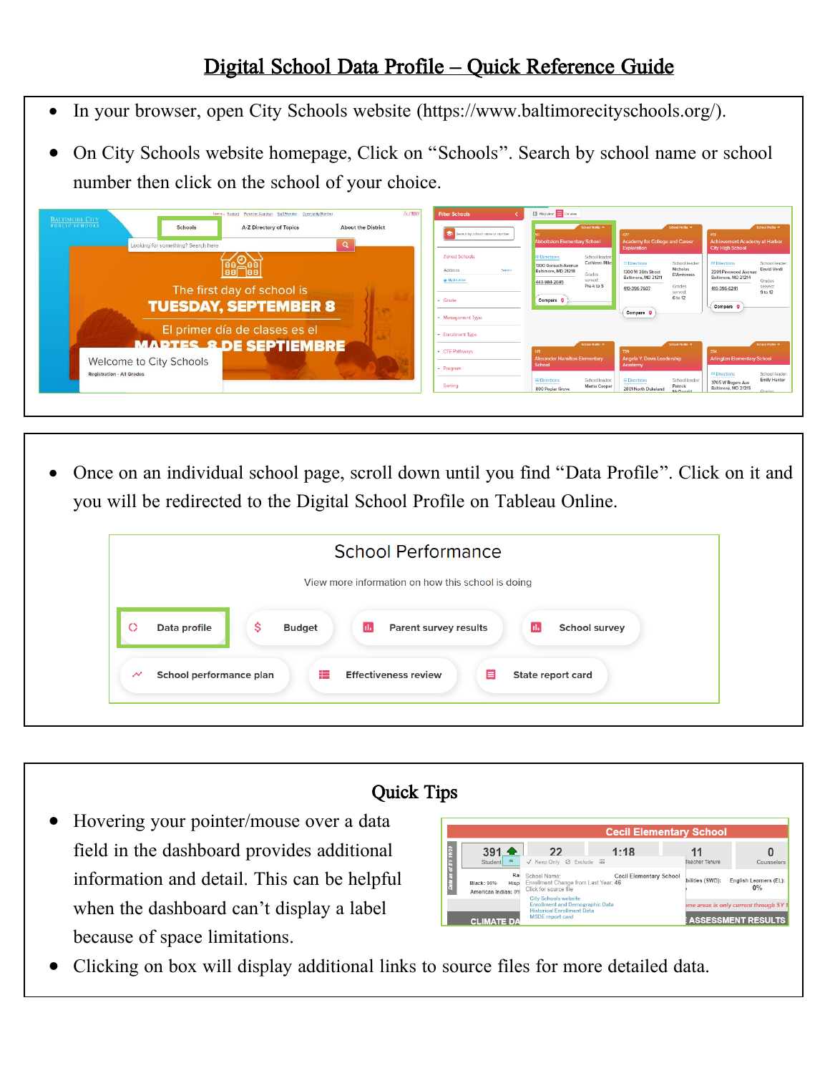## Digital School Data Profile – Quick Reference Guide

- In your browser, open City Schools website (https://www.baltimorecityschools.org/).
- On City Schools website homepage, Click on "Schools". Search by school name or school number then click on the school of your choice.

| 为了翻译<br>Tem e., Student Parent or Guardian Staff Member Community Member<br><b>BALTIMORE CITY</b><br><b>PUBLIC SCHOOLS</b><br>Schools<br>A-Z Directory of Topics<br><b>About the District</b><br>Looking for something? Search here | <b>Filter Schools</b><br>G.<br>Search by school name or number                                                                            | <b>II</b> Map view <b>E</b> List view<br>School Profile<br><b>Abbottston Elementary School</b>                                                                                | School Profile<br>427<br><b>Academy for College and Career</b><br><b>Exploration</b>                                                                                             | School Profile<br>413<br><b>Achievement Academy at Harbor</b><br><b>City High School</b>                                                                         |
|-------------------------------------------------------------------------------------------------------------------------------------------------------------------------------------------------------------------------------------|-------------------------------------------------------------------------------------------------------------------------------------------|-------------------------------------------------------------------------------------------------------------------------------------------------------------------------------|----------------------------------------------------------------------------------------------------------------------------------------------------------------------------------|------------------------------------------------------------------------------------------------------------------------------------------------------------------|
| laa<br>The first day of school is<br><b>TUESDAY, SEPTEMBER 8</b><br>El primer día de clases es el                                                                                                                                   | <b>Zoned Schools</b><br>Address<br>Search +<br><b>My location</b><br>$\sqrt{\frac{1}{2}}$ Grade<br>- Management Type<br>- Enrollment Type | School leader:<br><b>ID Directions</b><br><b>Cathleen Miles</b><br>1300 Gorsuch Avenue<br>Baltimore, MD 21218<br>Grades<br>served:<br>443-984-2685<br>Pre-k to 5<br>Compare Q | <b>II</b> Directions<br>School leader<br>Nicholas<br>1300 W 36th Street<br><b>D'Ambrosio</b><br>Baltimore, MD 21211<br>Grades<br>410-396-7607<br>served:<br>6 to 12<br>Compare Q | <b>00 Directions</b><br>School leader<br>David Verdi<br>2201 Pinewood Avenue<br>Baltimore, MD 21214<br>Grades<br>served:<br>410-396-6241<br>9 to 12<br>Compare Q |
| <b>MAPTES &amp; DE SEPTIEMBRE</b><br>Welcome to City Schools                                                                                                                                                                        | - CTE Pathways<br>- Program                                                                                                               | School Profile (9)<br><b>Alexander Hamilton Elementary</b><br>School                                                                                                          | School Profile (*<br>729<br>Angela Y. Davis Leadership<br>Academy                                                                                                                | School Profile<br>234<br><b>Arlington Elementary School</b>                                                                                                      |
| <b>Registration - All Grades</b>                                                                                                                                                                                                    | Sorting                                                                                                                                   | School leader:<br>ED Directions<br><b>Martia Cooper</b><br>800 Poplar Grove                                                                                                   | # Directions<br>School leader<br>Patrick<br>2801 North Dukeland                                                                                                                  | School leader<br><b>OF Directions</b><br><b>Emily Hunter</b><br>3705 W Rogers Ave<br>Baltimore, MD 21215                                                         |

• Once on an individual school page, scroll down until you find "Data Profile". Click on it and you will be redirected to the Digital School Profile on Tableau Online.

|                          | <b>School Performance</b><br>View more information on how this school is doing                                          |
|--------------------------|-------------------------------------------------------------------------------------------------------------------------|
|                          |                                                                                                                         |
| $\circ$                  | \$<br><b>Ida</b><br><b>Parent survey results</b><br><b>School survey</b><br><b>Ide</b><br>Data profile<br><b>Budget</b> |
| $\overline{\phantom{a}}$ | æ<br><b>Effectiveness review</b><br>Ε<br>School performance plan<br><b>State report card</b>                            |



• Clicking on box will display additional links to source files for more detailed data.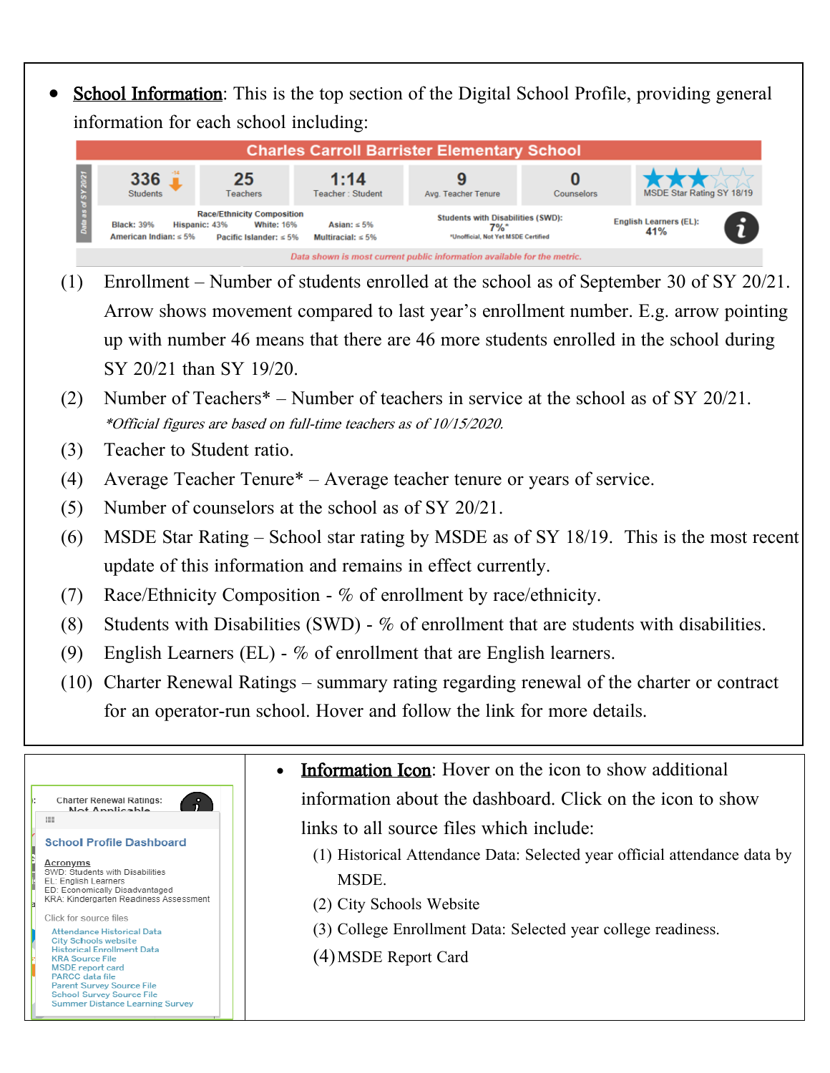**School Information:** This is the top section of the Digital School Profile, providing general information for each school including:

| <b>Charles Carroll Barrister Elementary School</b>                      |                                                  |                                                                                                         |                                              |                                                                                        |            |                                      |   |
|-------------------------------------------------------------------------|--------------------------------------------------|---------------------------------------------------------------------------------------------------------|----------------------------------------------|----------------------------------------------------------------------------------------|------------|--------------------------------------|---|
|                                                                         | 336<br><b>Students</b>                           | 25<br><b>Teachers</b>                                                                                   | 1:14<br>Teacher: Student                     | Avg. Teacher Tenure                                                                    | Counselors | MSDE Star Rating SY 18/19            |   |
|                                                                         | <b>Black: 39%</b><br>American Indian: $\leq 5\%$ | <b>Race/Ethnicity Composition</b><br><b>White: 16%</b><br>Hispanic: 43%<br>Pacific Islander: $\leq 5\%$ | Asian: $\leq 5\%$<br>Multiracial: $\leq 5\%$ | <b>Students with Disabilities (SWD):</b><br>7%*<br>*Unofficial, Not Yet MSDE Certified |            | <b>English Learners (EL):</b><br>41% | R |
| Data shown is most current public information available for the metric. |                                                  |                                                                                                         |                                              |                                                                                        |            |                                      |   |

- (1) Enrollment Number of students enrolled at the school as of September 30 of SY 20/21. Arrow shows movement compared to last year's enrollment number. E.g. arrow pointing up with number 46 means that there are 46 more students enrolled in the school during SY 20/21 than SY 19/20.
- (2) Number of Teachers\* Number of teachers in service at the school as of SY 20/21. \*Official figures are based on full-time teachers as of 10/15/2020.
- (3) Teacher to Student ratio.
- (4) Average Teacher Tenure\* Average teacher tenure or years of service.
- (5) Number of counselors at the school as of SY 20/21.
- (6) MSDE Star Rating School star rating by MSDE as of SY 18/19. This is the most recent update of this information and remains in effect currently.
- (7) Race/Ethnicity Composition % of enrollment by race/ethnicity.
- (8) Students with Disabilities (SWD) % of enrollment that are students with disabilities.
- (9) English Learners (EL) % of enrollment that are English learners.
- (10) Charter Renewal Ratings summary rating regarding renewal of the charter or contract for an operator-run school. Hover and follow the link for more details.

|                                                                                                                                                                                                                                                                                                                                                                                                                                                                                                                 | <b>Information Icon:</b> Hover on the icon to show additional<br>$\bullet$                                                                                                                                    |
|-----------------------------------------------------------------------------------------------------------------------------------------------------------------------------------------------------------------------------------------------------------------------------------------------------------------------------------------------------------------------------------------------------------------------------------------------------------------------------------------------------------------|---------------------------------------------------------------------------------------------------------------------------------------------------------------------------------------------------------------|
| <b>Charter Renewal Ratings:</b><br>$\mathbf{r}$<br>Not Applicable                                                                                                                                                                                                                                                                                                                                                                                                                                               | information about the dashboard. Click on the icon to show                                                                                                                                                    |
| 疆                                                                                                                                                                                                                                                                                                                                                                                                                                                                                                               | links to all source files which include:                                                                                                                                                                      |
| <b>School Profile Dashboard</b><br>Acronyms<br>SWD: Students with Disabilities<br>EL: English Learners<br>ED: Economically Disadvantaged<br>KRA: Kindergarten Readiness Assessment<br>Click for source files<br>Attendance Historical Data<br><b>City Schools website</b><br><b>Historical Enrollment Data</b><br><b>KRA Source File</b><br><b>MSDE</b> report card<br><b>PARCC</b> data file<br><b>Parent Survey Source File</b><br><b>School Survey Source File</b><br><b>Summer Distance Learning Survey</b> | (1) Historical Attendance Data: Selected year official attendance data by<br><b>MSDE</b><br>(2) City Schools Website<br>(3) College Enrollment Data: Selected year college readiness.<br>(4) MSDE Report Card |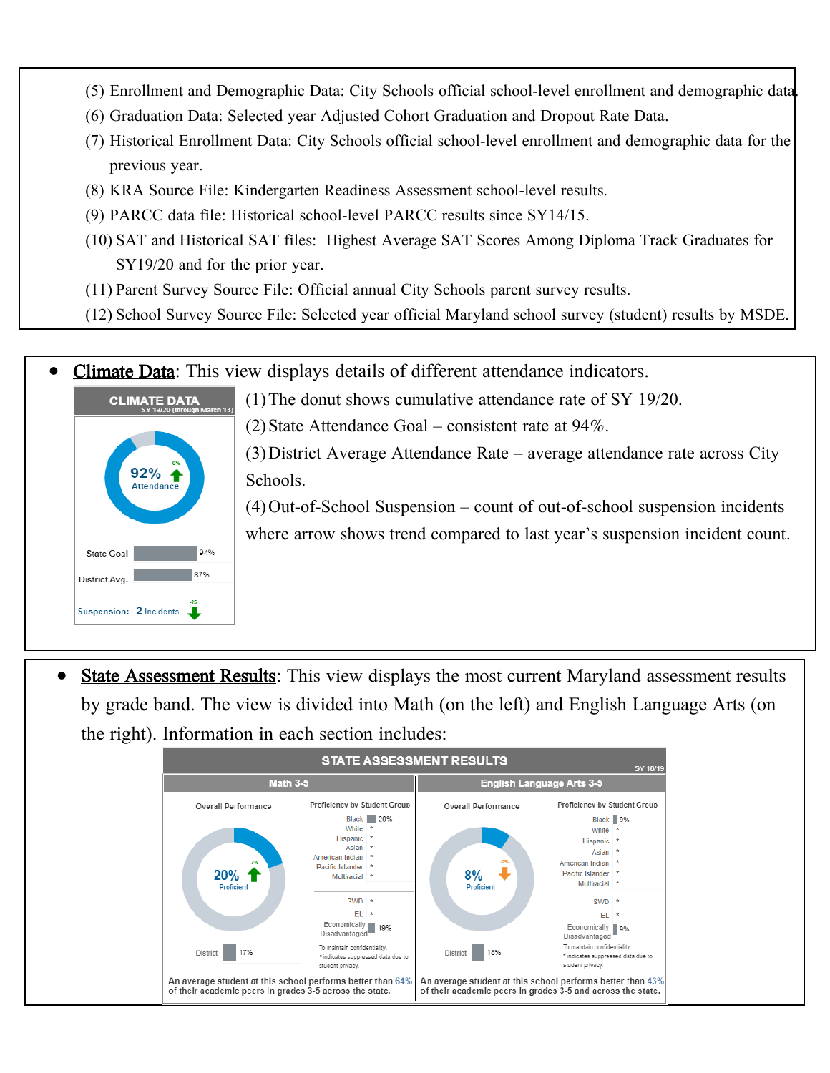- (5) Enrollment and Demographic Data: City Schools official school-level enrollment and demographic data.
- (6) Graduation Data: Selected year [Adjusted Cohort Graduation and Dropout Rate Data.](https://reportcard.msde.maryland.gov/DataDownloads/FileDownload/390)
- (7) Historical Enrollment Data: City Schools official school-level enrollment and demographic data for the previous year.
- (8) KRA Source File: Kindergarten Readiness Assessment school-level results.
- (9) PARCC data file: Historical school-level PARCC results since SY14/15.
- (10) SAT and Historical SAT files: Highest Average SAT Scores Among Diploma Track Graduates for SY19/20 and for the prior year.
- (11) Parent Survey Source File: Official annual City Schools parent survey results.
- (12) School Survey Source File: Selected year official Maryland school survey (student) results by MSDE.

**Climate Data:** This view displays details of different attendance indicators.



(1)The donut shows cumulative attendance rate of SY 19/20.

(2) State Attendance Goal – consistent rate at  $94\%$ .

(3)District Average Attendance Rate – average attendance rate across City Schools.

(4)Out-of-School Suspension – count of out-of-school suspension incidents where arrow shows trend compared to last year's suspension incident count.

**State Assessment Results:** This view displays the most current Maryland assessment results by grade band. The view is divided into Math (on the left) and English Language Arts (on the right). Information in each section includes:

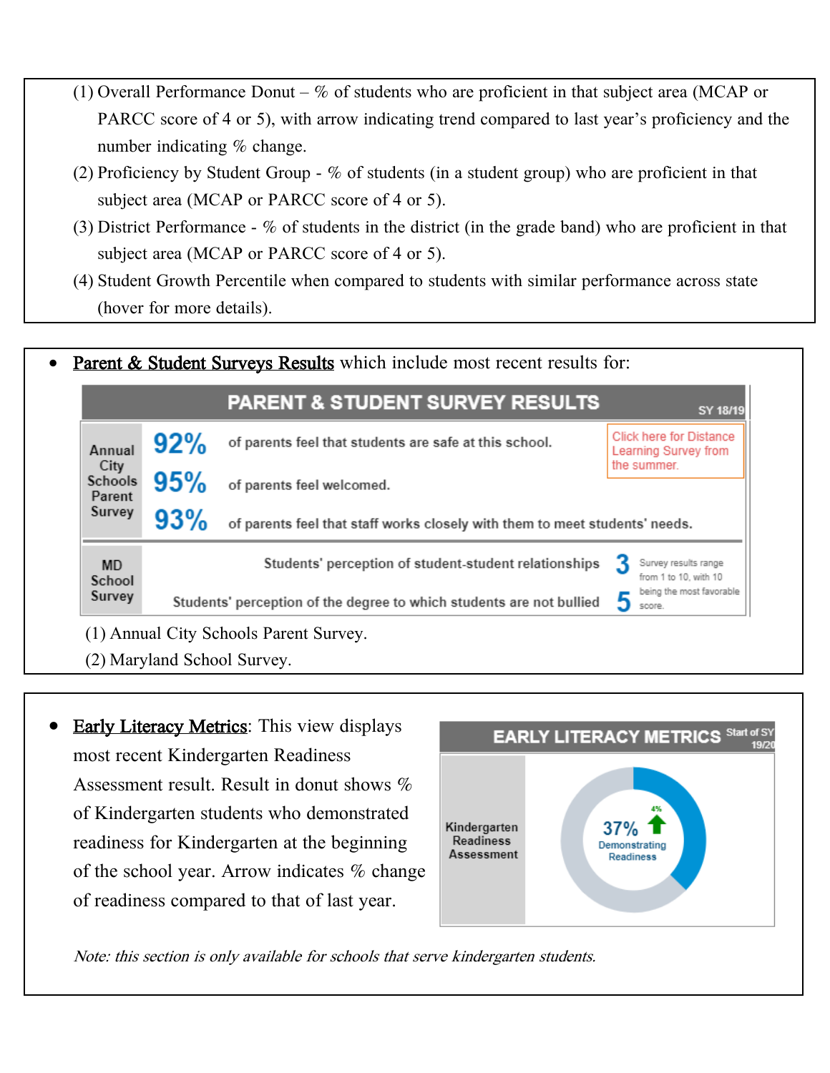- (1) Overall Performance Donut  $\%$  of students who are proficient in that subject area (MCAP or PARCC score of 4 or 5), with arrow indicating trend compared to last year's proficiency and the number indicating % change.
- (2) Proficiency by Student Group % of students (in a student group) who are proficient in that subject area (MCAP or PARCC score of 4 or 5).
- (3) District Performance % of students in the district (in the grade band) who are proficient in that subject area (MCAP or PARCC score of 4 or 5).
- (4) Student Growth Percentile when compared to students with similar performance across state (hover for more details).



**Early Literacy Metrics:** This view displays most recent Kindergarten Readiness Assessment result. Result in donut shows % of Kindergarten students who demonstrated readiness for Kindergarten at the beginning of the school year. Arrow indicates % change of readiness compared to that of last year.



Note: this section is only available for schools that serve kindergarten students.